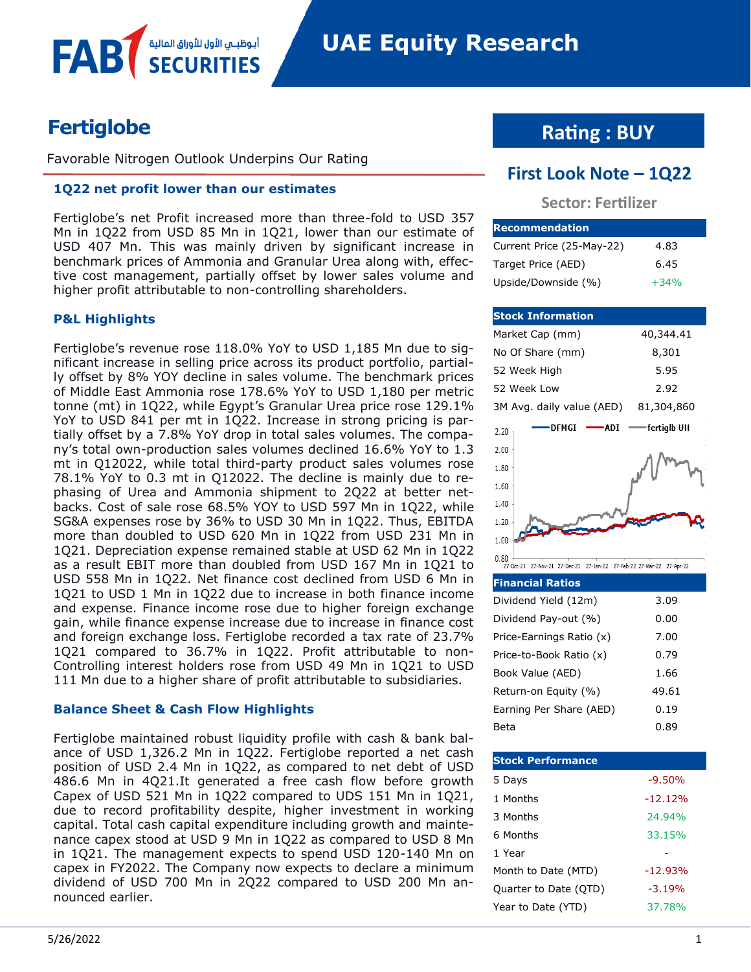# **Fertiglobe**

FAE

Favorable Nitrogen Outlook Underpins Our Rating

أبوظبــي الأول للأوراق المالا

#### **1Q22 net profit lower than our estimates**

Fertiglobe's net Profit increased more than three-fold to USD 357 Mn in 1Q22 from USD 85 Mn in 1Q21, lower than our estimate of USD 407 Mn. This was mainly driven by significant increase in benchmark prices of Ammonia and Granular Urea along with, effective cost management, partially offset by lower sales volume and higher profit attributable to non-controlling shareholders.

#### **P&L Highlights**

Fertiglobe's revenue rose 118.0% YoY to USD 1,185 Mn due to significant increase in selling price across its product portfolio, partially offset by 8% YOY decline in sales volume. The benchmark prices of Middle East Ammonia rose 178.6% YoY to USD 1,180 per metric tonne (mt) in 1Q22, while Egypt's Granular Urea price rose 129.1% YoY to USD 841 per mt in 1Q22. Increase in strong pricing is partially offset by a 7.8% YoY drop in total sales volumes. The company's total own-production sales volumes declined 16.6% YoY to 1.3 mt in Q12022, while total third-party product sales volumes rose 78.1% YoY to 0.3 mt in Q12022. The decline is mainly due to rephasing of Urea and Ammonia shipment to 2Q22 at better netbacks. Cost of sale rose 68.5% YOY to USD 597 Mn in 1Q22, while SG&A expenses rose by 36% to USD 30 Mn in 1Q22. Thus, EBITDA more than doubled to USD 620 Mn in 1Q22 from USD 231 Mn in 1Q21. Depreciation expense remained stable at USD 62 Mn in 1Q22 as a result EBIT more than doubled from USD 167 Mn in 1Q21 to USD 558 Mn in 1Q22. Net finance cost declined from USD 6 Mn in 1Q21 to USD 1 Mn in 1Q22 due to increase in both finance income and expense. Finance income rose due to higher foreign exchange gain, while finance expense increase due to increase in finance cost and foreign exchange loss. Fertiglobe recorded a tax rate of 23.7% 1Q21 compared to 36.7% in 1Q22. Profit attributable to non-Controlling interest holders rose from USD 49 Mn in 1Q21 to USD 111 Mn due to a higher share of profit attributable to subsidiaries.

#### **Balance Sheet & Cash Flow Highlights**

Fertiglobe maintained robust liquidity profile with cash & bank balance of USD 1,326.2 Mn in 1Q22. Fertiglobe reported a net cash position of USD 2.4 Mn in 1Q22, as compared to net debt of USD 486.6 Mn in 4Q21.It generated a free cash flow before growth Capex of USD 521 Mn in 1Q22 compared to UDS 151 Mn in 1Q21, due to record profitability despite, higher investment in working capital. Total cash capital expenditure including growth and maintenance capex stood at USD 9 Mn in 1Q22 as compared to USD 8 Mn in 1Q21. The management expects to spend USD 120-140 Mn on capex in FY2022. The Company now expects to declare a minimum dividend of USD 700 Mn in 2Q22 compared to USD 200 Mn announced earlier.

# **Rating : BUY**

# **First Look Note – 1Q22**

## **Sector: Fertilizer**

| <b>Recommendation</b>     |        |
|---------------------------|--------|
| Current Price (25-May-22) | 4.83   |
| Target Price (AED)        | 6.45   |
| Upside/Downside (%)       | $+34%$ |

| <b>Stock Information</b>                              |                                  |  |  |
|-------------------------------------------------------|----------------------------------|--|--|
| Market Cap (mm)                                       | 40,344.41                        |  |  |
| No Of Share (mm)                                      | 8,301                            |  |  |
| 52 Week High                                          | 5.95                             |  |  |
| 52 Week Low                                           | 2.92                             |  |  |
| 3M Avg. daily value (AED)                             | 81,304,860                       |  |  |
| DFMGI<br>∙ADI<br>2.20                                 | ∙fertiglb UH                     |  |  |
| 2.00                                                  |                                  |  |  |
| 1.80                                                  |                                  |  |  |
| 1.60                                                  |                                  |  |  |
| 1.40                                                  |                                  |  |  |
| 1.20                                                  |                                  |  |  |
| 1.00                                                  |                                  |  |  |
| 0.80<br>27-Oct-21<br>27-Nov-21 27-Dec-21<br>27-Jan-22 | 27-Feb-22 27-Mar-22<br>27-Apr-22 |  |  |
| <b>Financial Ratios</b>                               |                                  |  |  |
| Dividend Yield (12m)                                  | 3.09                             |  |  |
| Dividend Pay-out (%)                                  | 0.00                             |  |  |
| Price-Earnings Ratio (x)                              | 7.00                             |  |  |
| Price-to-Book Ratio (x)                               | 0.79                             |  |  |
| Book Value (AED)                                      | 1.66                             |  |  |
| Return-on Equity (%)                                  | 49.61                            |  |  |
| Earning Per Share (AED)                               | 0.19                             |  |  |
| Beta                                                  | 0.89                             |  |  |
|                                                       |                                  |  |  |

| <b>Stock Performance</b> |           |
|--------------------------|-----------|
| 5 Days                   | $-9.50%$  |
| 1 Months                 | $-12.12%$ |
| 3 Months                 | 24.94%    |
| 6 Months                 | 33.15%    |
| 1 Year                   |           |
| Month to Date (MTD)      | $-12.93%$ |
| Quarter to Date (QTD)    | $-3.19%$  |
| Year to Date (YTD)       | 37.78%    |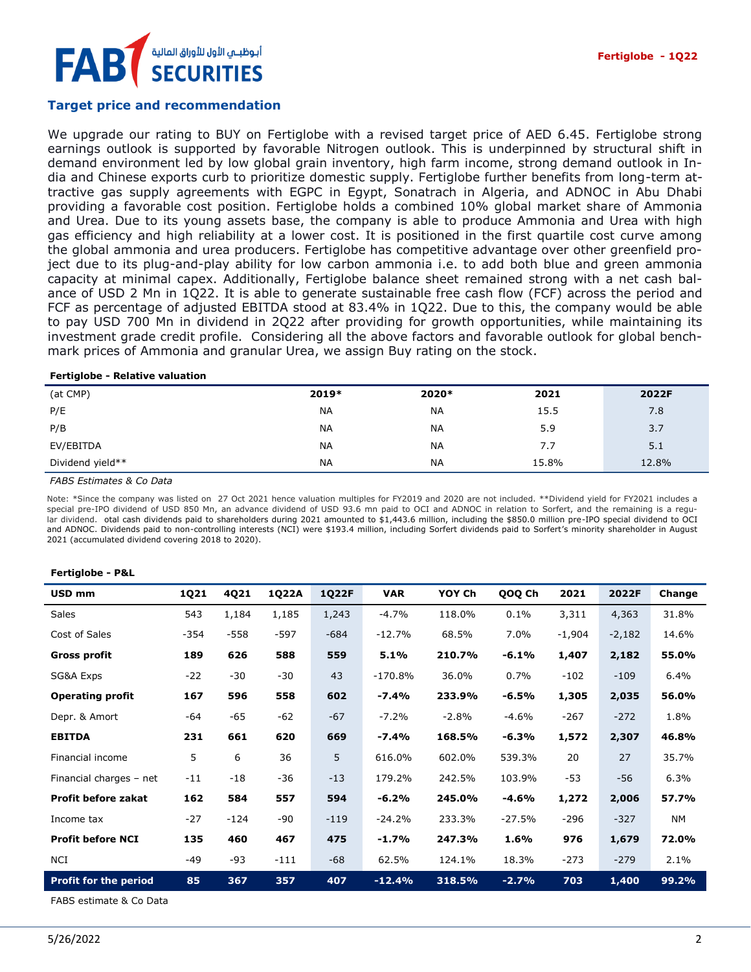# أبوظبـي الأول للأوراق المالي FA

#### **Target price and recommendation**

We upgrade our rating to BUY on Fertiglobe with a revised target price of AED 6.45. Fertiglobe strong earnings outlook is supported by favorable Nitrogen outlook. This is underpinned by structural shift in demand environment led by low global grain inventory, high farm income, strong demand outlook in India and Chinese exports curb to prioritize domestic supply. Fertiglobe further benefits from long-term attractive gas supply agreements with EGPC in Egypt, Sonatrach in Algeria, and ADNOC in Abu Dhabi providing a favorable cost position. Fertiglobe holds a combined 10% global market share of Ammonia and Urea. Due to its young assets base, the company is able to produce Ammonia and Urea with high gas efficiency and high reliability at a lower cost. It is positioned in the first quartile cost curve among the global ammonia and urea producers. Fertiglobe has competitive advantage over other greenfield project due to its plug-and-play ability for low carbon ammonia i.e. to add both blue and green ammonia capacity at minimal capex. Additionally, Fertiglobe balance sheet remained strong with a net cash balance of USD 2 Mn in 1Q22. It is able to generate sustainable free cash flow (FCF) across the period and FCF as percentage of adjusted EBITDA stood at 83.4% in 1Q22. Due to this, the company would be able to pay USD 700 Mn in dividend in 2Q22 after providing for growth opportunities, while maintaining its investment grade credit profile. Considering all the above factors and favorable outlook for global benchmark prices of Ammonia and granular Urea, we assign Buy rating on the stock.

#### **Fertiglobe - Relative valuation**

| (at CMP)         | 2019*     | 2020*     | 2021  | 2022F |
|------------------|-----------|-----------|-------|-------|
| P/E              | <b>NA</b> | NА        | 15.5  | 7.8   |
| P/B              | NА        | NА        | 5.9   | 3.7   |
| EV/EBITDA        | NА        | NA        | 7.7   | 5.1   |
| Dividend yield** | <b>NA</b> | <b>NA</b> | 15.8% | 12.8% |

*FABS Estimates & Co Data*

Note: \*Since the company was listed on 27 Oct 2021 hence valuation multiples for FY2019 and 2020 are not included. \*\*Dividend yield for FY2021 includes a special pre-IPO dividend of USD 850 Mn, an advance dividend of USD 93.6 mn paid to OCI and ADNOC in relation to Sorfert, and the remaining is a regular dividend. otal cash dividends paid to shareholders during 2021 amounted to \$1,443.6 million, including the \$850.0 million pre-IPO special dividend to OCI and ADNOC. Dividends paid to non-controlling interests (NCI) were \$193.4 million, including Sorfert dividends paid to Sorfert's minority shareholder in August 2021 (accumulated dividend covering 2018 to 2020).

| USD mm                       | 1Q21   | 4Q21   | 1Q22A  | <b>1Q22F</b> | <b>VAR</b> | YOY Ch  | QOQ Ch   | 2021     | 2022F    | Change    |
|------------------------------|--------|--------|--------|--------------|------------|---------|----------|----------|----------|-----------|
| Sales                        | 543    | 1,184  | 1,185  | 1,243        | $-4.7%$    | 118.0%  | 0.1%     | 3,311    | 4,363    | 31.8%     |
| Cost of Sales                | $-354$ | $-558$ | -597   | $-684$       | $-12.7%$   | 68.5%   | 7.0%     | $-1,904$ | $-2,182$ | 14.6%     |
| <b>Gross profit</b>          | 189    | 626    | 588    | 559          | 5.1%       | 210.7%  | $-6.1%$  | 1,407    | 2,182    | 55.0%     |
| SG&A Exps                    | $-22$  | $-30$  | -30    | 43           | $-170.8%$  | 36.0%   | 0.7%     | $-102$   | $-109$   | 6.4%      |
| <b>Operating profit</b>      | 167    | 596    | 558    | 602          | $-7.4%$    | 233.9%  | $-6.5%$  | 1,305    | 2,035    | 56.0%     |
| Depr. & Amort                | -64    | $-65$  | $-62$  | $-67$        | $-7.2%$    | $-2.8%$ | $-4.6%$  | $-267$   | $-272$   | 1.8%      |
| <b>EBITDA</b>                | 231    | 661    | 620    | 669          | $-7.4%$    | 168.5%  | $-6.3%$  | 1,572    | 2,307    | 46.8%     |
| Financial income             | 5      | 6      | 36     | 5            | 616.0%     | 602.0%  | 539.3%   | 20       | 27       | 35.7%     |
| Financial charges - net      | $-11$  | $-18$  | -36    | $-13$        | 179.2%     | 242.5%  | 103.9%   | $-53$    | $-56$    | 6.3%      |
| Profit before zakat          | 162    | 584    | 557    | 594          | $-6.2%$    | 245.0%  | $-4.6%$  | 1,272    | 2,006    | 57.7%     |
| Income tax                   | $-27$  | $-124$ | -90    | $-119$       | $-24.2%$   | 233.3%  | $-27.5%$ | $-296$   | $-327$   | <b>NM</b> |
| <b>Profit before NCI</b>     | 135    | 460    | 467    | 475          | $-1.7%$    | 247.3%  | 1.6%     | 976      | 1,679    | 72.0%     |
| <b>NCI</b>                   | $-49$  | -93    | $-111$ | $-68$        | 62.5%      | 124.1%  | 18.3%    | $-273$   | $-279$   | 2.1%      |
| <b>Profit for the period</b> | 85     | 367    | 357    | 407          | $-12.4%$   | 318.5%  | $-2.7%$  | 703      | 1,400    | 99.2%     |

#### **Fertiglobe - P&L**

FABS estimate & Co Data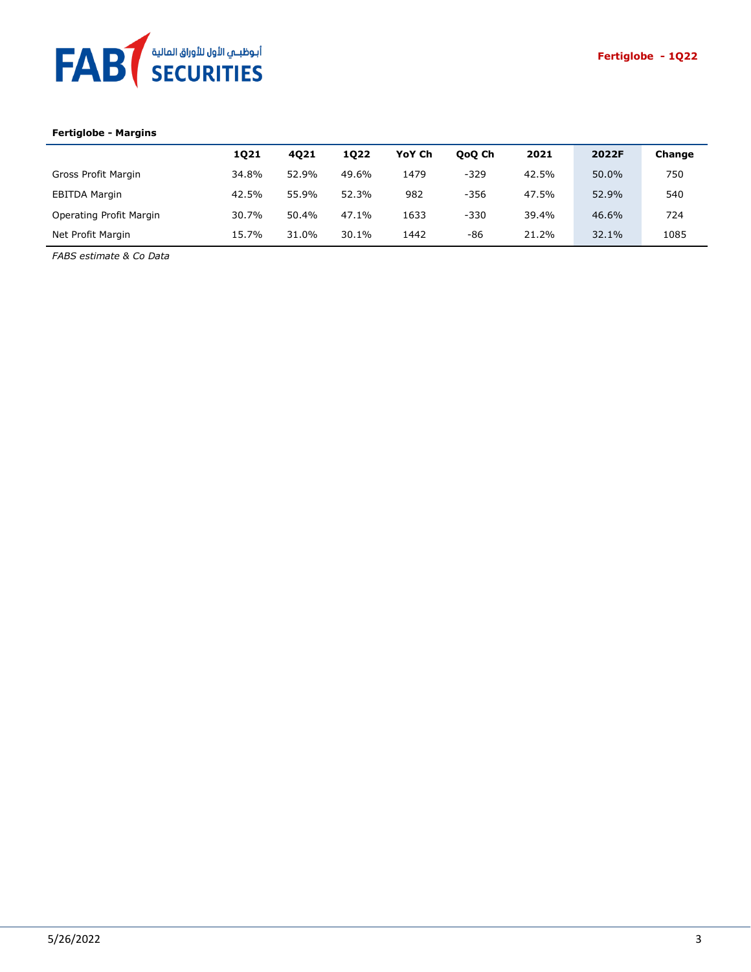

#### **Fertiglobe - Margins**

|                         | 1021  | 4021  | 1022  | YoY Ch | OoO Ch | 2021  | 2022F | Change |
|-------------------------|-------|-------|-------|--------|--------|-------|-------|--------|
| Gross Profit Margin     | 34.8% | 52.9% | 49.6% | 1479   | $-329$ | 42.5% | 50.0% | 750    |
| <b>EBITDA Margin</b>    | 42.5% | 55.9% | 52.3% | 982    | $-356$ | 47.5% | 52.9% | 540    |
| Operating Profit Margin | 30.7% | 50.4% | 47.1% | 1633   | $-330$ | 39.4% | 46.6% | 724    |
| Net Profit Margin       | 15.7% | 31.0% | 30.1% | 1442   | -86    | 21.2% | 32.1% | 1085   |

*FABS estimate & Co Data*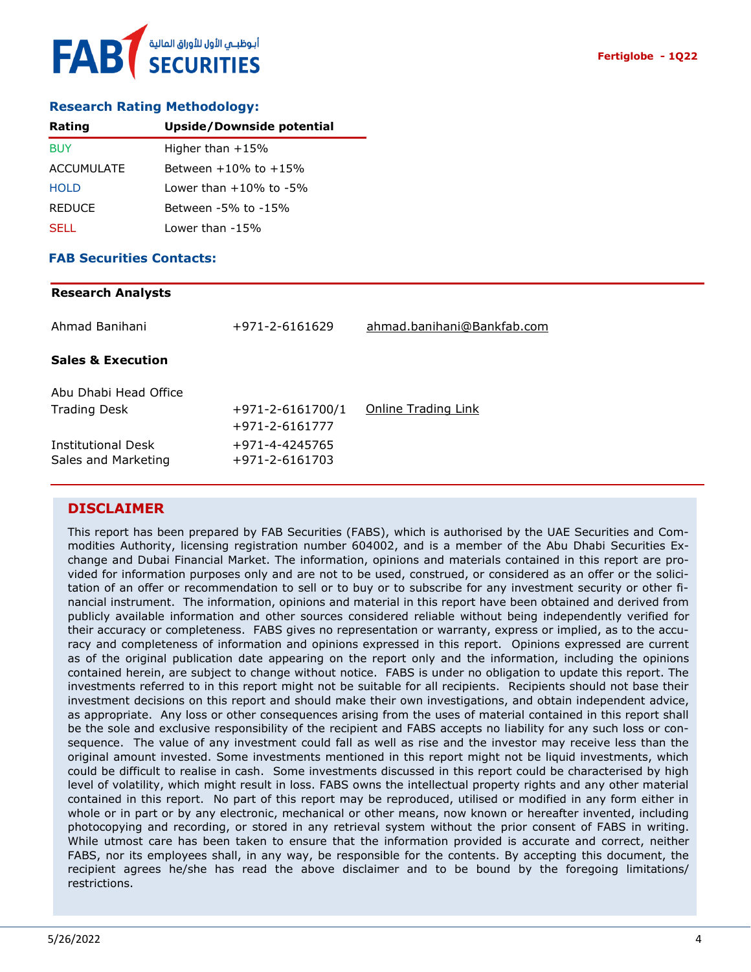# **Research Rating Methodology:**

| Rating            | Upside/Downside potential    |
|-------------------|------------------------------|
| BUY               | Higher than $+15%$           |
| <b>ACCUMULATE</b> | Between $+10\%$ to $+15\%$   |
| <b>HOLD</b>       | Lower than $+10\%$ to $-5\%$ |
| <b>REDUCE</b>     | Between -5% to -15%          |
| <b>SELL</b>       | Lower than -15%              |

# **FAB Securities Contacts:**

| <b>Research Analysts</b>                         |                                          |                            |
|--------------------------------------------------|------------------------------------------|----------------------------|
| Ahmad Banihani                                   | $+971 - 2 - 6161629$                     | ahmad.banihani@Bankfab.com |
| <b>Sales &amp; Execution</b>                     |                                          |                            |
| Abu Dhabi Head Office                            |                                          |                            |
| <b>Trading Desk</b>                              | $+971 - 2 - 6161700/1$<br>+971-2-6161777 | Online Trading Link        |
| <b>Institutional Desk</b><br>Sales and Marketing | +971-4-4245765<br>+971-2-6161703         |                            |
|                                                  |                                          |                            |

### **DISCLAIMER**

This report has been prepared by FAB Securities (FABS), which is authorised by the UAE Securities and Commodities Authority, licensing registration number 604002, and is a member of the Abu Dhabi Securities Exchange and Dubai Financial Market. The information, opinions and materials contained in this report are provided for information purposes only and are not to be used, construed, or considered as an offer or the solicitation of an offer or recommendation to sell or to buy or to subscribe for any investment security or other financial instrument. The information, opinions and material in this report have been obtained and derived from publicly available information and other sources considered reliable without being independently verified for their accuracy or completeness. FABS gives no representation or warranty, express or implied, as to the accuracy and completeness of information and opinions expressed in this report. Opinions expressed are current as of the original publication date appearing on the report only and the information, including the opinions contained herein, are subject to change without notice. FABS is under no obligation to update this report. The investments referred to in this report might not be suitable for all recipients. Recipients should not base their investment decisions on this report and should make their own investigations, and obtain independent advice, as appropriate. Any loss or other consequences arising from the uses of material contained in this report shall be the sole and exclusive responsibility of the recipient and FABS accepts no liability for any such loss or consequence. The value of any investment could fall as well as rise and the investor may receive less than the original amount invested. Some investments mentioned in this report might not be liquid investments, which could be difficult to realise in cash. Some investments discussed in this report could be characterised by high level of volatility, which might result in loss. FABS owns the intellectual property rights and any other material contained in this report. No part of this report may be reproduced, utilised or modified in any form either in whole or in part or by any electronic, mechanical or other means, now known or hereafter invented, including photocopying and recording, or stored in any retrieval system without the prior consent of FABS in writing. While utmost care has been taken to ensure that the information provided is accurate and correct, neither FABS, nor its employees shall, in any way, be responsible for the contents. By accepting this document, the recipient agrees he/she has read the above disclaimer and to be bound by the foregoing limitations/ restrictions.